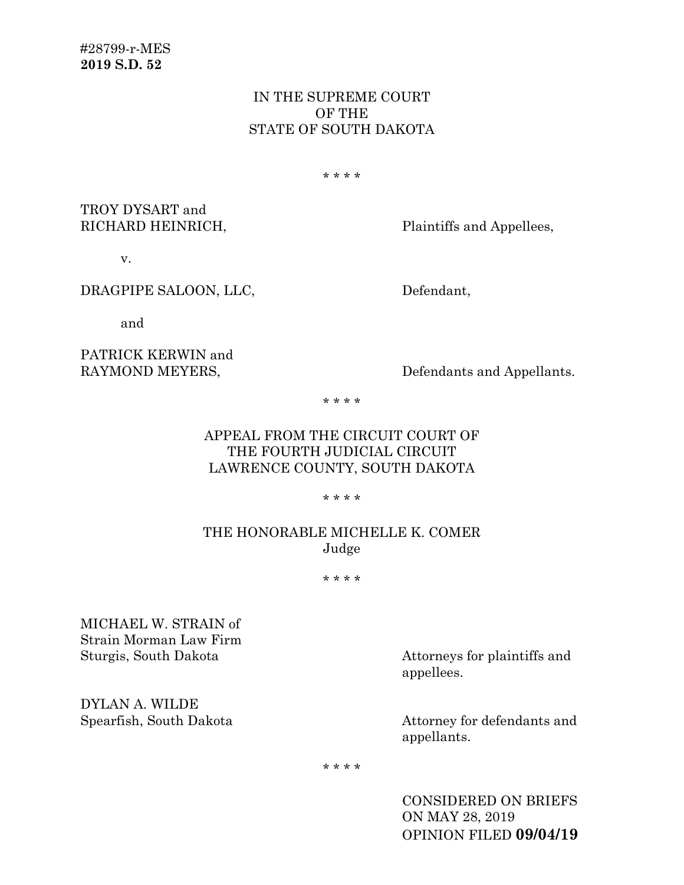### IN THE SUPREME COURT OF THE STATE OF SOUTH DAKOTA

\* \* \* \*

TROY DYSART and

RICHARD HEINRICH, Plaintiffs and Appellees,

v.

#### DRAGPIPE SALOON, LLC, Defendant,

and

# PATRICK KERWIN and

RAYMOND MEYERS, Defendants and Appellants.

\* \* \* \*

## APPEAL FROM THE CIRCUIT COURT OF THE FOURTH JUDICIAL CIRCUIT LAWRENCE COUNTY, SOUTH DAKOTA

\* \* \* \*

## THE HONORABLE MICHELLE K. COMER Judge

\* \* \* \*

MICHAEL W. STRAIN of Strain Morman Law Firm

DYLAN A. WILDE

Sturgis, South Dakota Attorneys for plaintiffs and appellees.

> Attorney for defendants and appellants.

\* \* \* \*

CONSIDERED ON BRIEFS ON MAY 28, 2019 OPINION FILED **09/04/19**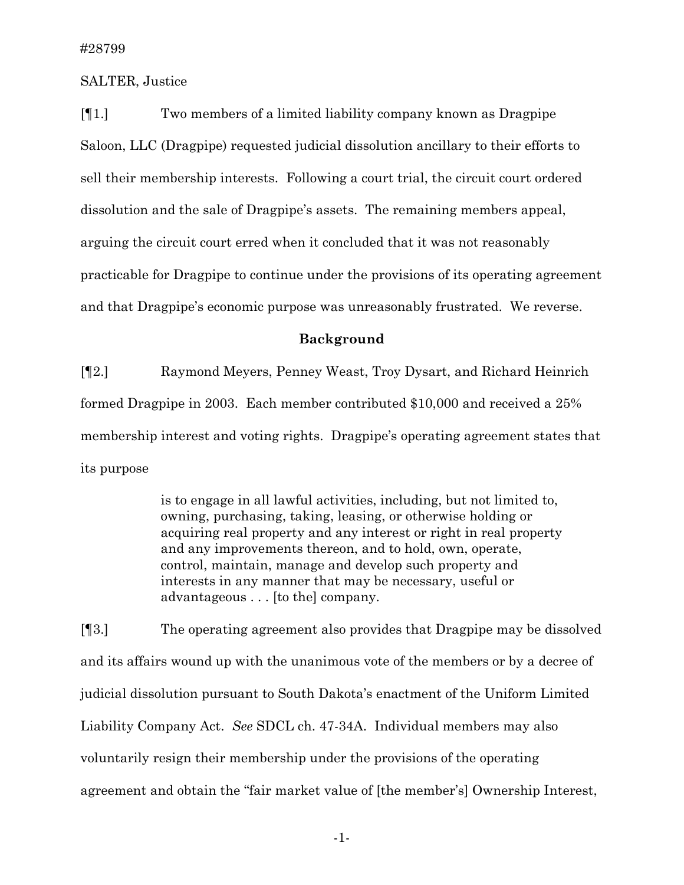SALTER, Justice

[¶1.] Two members of a limited liability company known as Dragpipe Saloon, LLC (Dragpipe) requested judicial dissolution ancillary to their efforts to sell their membership interests. Following a court trial, the circuit court ordered dissolution and the sale of Dragpipe's assets. The remaining members appeal, arguing the circuit court erred when it concluded that it was not reasonably practicable for Dragpipe to continue under the provisions of its operating agreement and that Dragpipe's economic purpose was unreasonably frustrated. We reverse.

#### **Background**

[¶2.] Raymond Meyers, Penney Weast, Troy Dysart, and Richard Heinrich formed Dragpipe in 2003. Each member contributed \$10,000 and received a 25% membership interest and voting rights. Dragpipe's operating agreement states that its purpose

> is to engage in all lawful activities, including, but not limited to, owning, purchasing, taking, leasing, or otherwise holding or acquiring real property and any interest or right in real property and any improvements thereon, and to hold, own, operate, control, maintain, manage and develop such property and interests in any manner that may be necessary, useful or advantageous . . . [to the] company.

[¶3.] The operating agreement also provides that Dragpipe may be dissolved and its affairs wound up with the unanimous vote of the members or by a decree of judicial dissolution pursuant to South Dakota's enactment of the Uniform Limited Liability Company Act. *See* SDCL ch. 47-34A. Individual members may also voluntarily resign their membership under the provisions of the operating agreement and obtain the "fair market value of [the member's] Ownership Interest,

-1-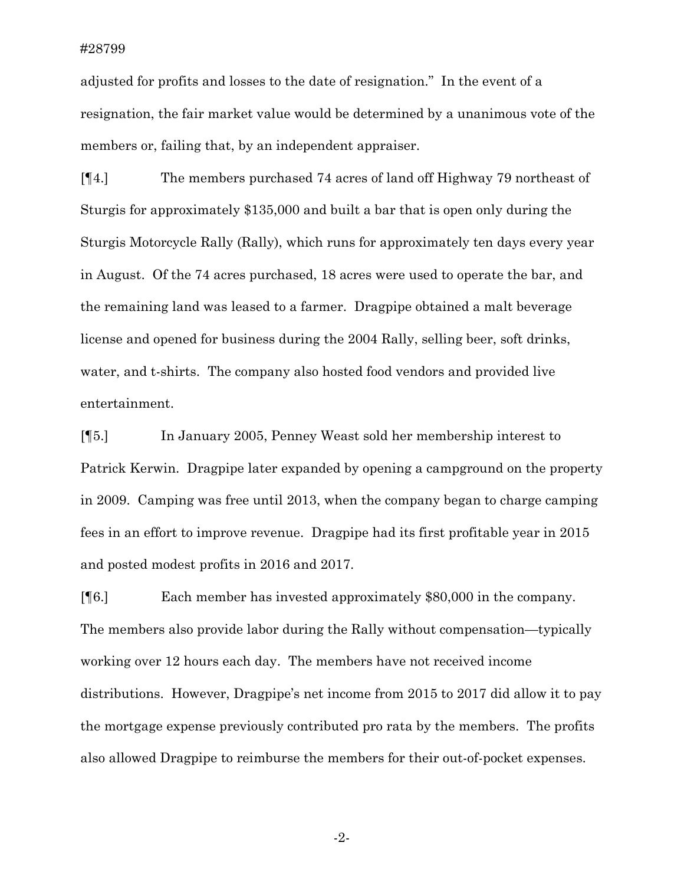adjusted for profits and losses to the date of resignation." In the event of a resignation, the fair market value would be determined by a unanimous vote of the members or, failing that, by an independent appraiser.

[¶4.] The members purchased 74 acres of land off Highway 79 northeast of Sturgis for approximately \$135,000 and built a bar that is open only during the Sturgis Motorcycle Rally (Rally), which runs for approximately ten days every year in August. Of the 74 acres purchased, 18 acres were used to operate the bar, and the remaining land was leased to a farmer. Dragpipe obtained a malt beverage license and opened for business during the 2004 Rally, selling beer, soft drinks, water, and t-shirts. The company also hosted food vendors and provided live entertainment.

[¶5.] In January 2005, Penney Weast sold her membership interest to Patrick Kerwin. Dragpipe later expanded by opening a campground on the property in 2009. Camping was free until 2013, when the company began to charge camping fees in an effort to improve revenue. Dragpipe had its first profitable year in 2015 and posted modest profits in 2016 and 2017.

[¶6.] Each member has invested approximately \$80,000 in the company. The members also provide labor during the Rally without compensation—typically working over 12 hours each day. The members have not received income distributions. However, Dragpipe's net income from 2015 to 2017 did allow it to pay the mortgage expense previously contributed pro rata by the members. The profits also allowed Dragpipe to reimburse the members for their out-of-pocket expenses.

-2-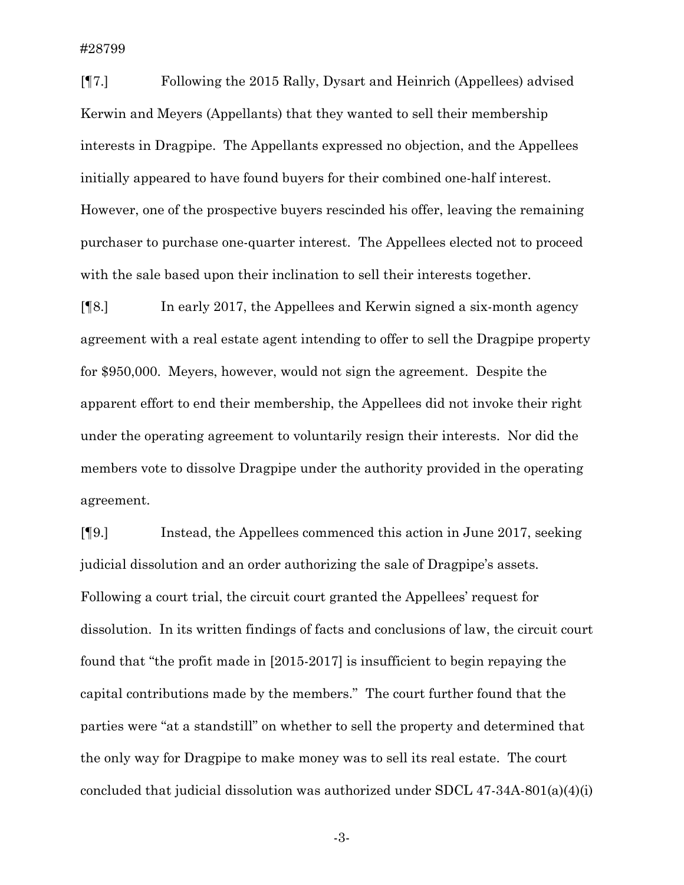#28799

[¶7.] Following the 2015 Rally, Dysart and Heinrich (Appellees) advised Kerwin and Meyers (Appellants) that they wanted to sell their membership interests in Dragpipe. The Appellants expressed no objection, and the Appellees initially appeared to have found buyers for their combined one-half interest. However, one of the prospective buyers rescinded his offer, leaving the remaining purchaser to purchase one-quarter interest. The Appellees elected not to proceed with the sale based upon their inclination to sell their interests together.

[¶8.] In early 2017, the Appellees and Kerwin signed a six-month agency agreement with a real estate agent intending to offer to sell the Dragpipe property for \$950,000. Meyers, however, would not sign the agreement. Despite the apparent effort to end their membership, the Appellees did not invoke their right under the operating agreement to voluntarily resign their interests. Nor did the members vote to dissolve Dragpipe under the authority provided in the operating agreement.

[¶9.] Instead, the Appellees commenced this action in June 2017, seeking judicial dissolution and an order authorizing the sale of Dragpipe's assets. Following a court trial, the circuit court granted the Appellees' request for dissolution. In its written findings of facts and conclusions of law, the circuit court found that "the profit made in [2015-2017] is insufficient to begin repaying the capital contributions made by the members." The court further found that the parties were "at a standstill" on whether to sell the property and determined that the only way for Dragpipe to make money was to sell its real estate. The court concluded that judicial dissolution was authorized under SDCL 47-34A-801(a)(4)(i)

-3-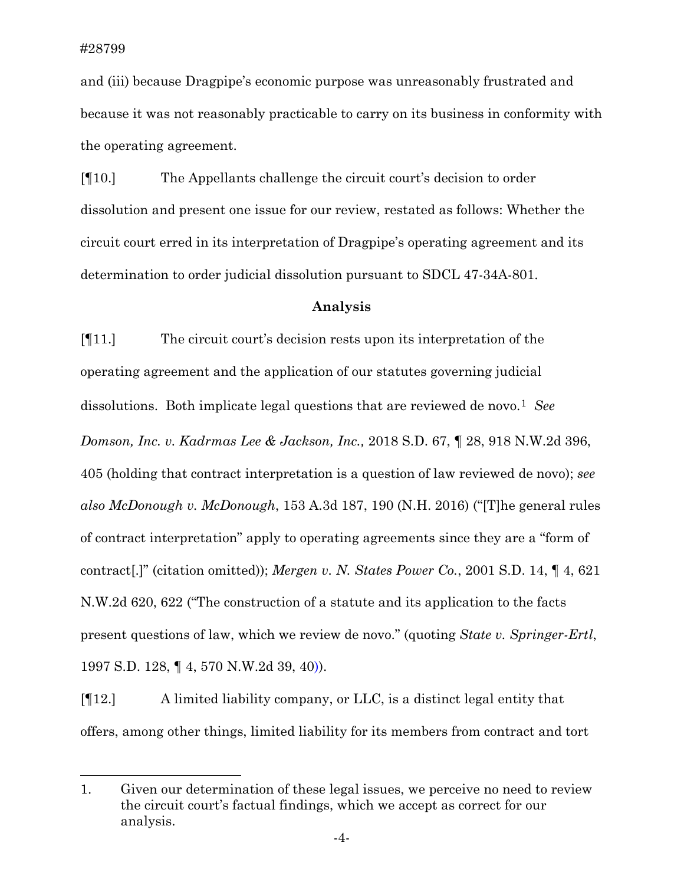l

and (iii) because Dragpipe's economic purpose was unreasonably frustrated and because it was not reasonably practicable to carry on its business in conformity with the operating agreement.

[¶10.] The Appellants challenge the circuit court's decision to order dissolution and present one issue for our review, restated as follows: Whether the circuit court erred in its interpretation of Dragpipe's operating agreement and its determination to order judicial dissolution pursuant to SDCL 47-34A-801.

#### **Analysis**

[¶11.] The circuit court's decision rests upon its interpretation of the operating agreement and the application of our statutes governing judicial dissolutions. Both implicate legal questions that are reviewed de novo.<sup>[1](#page-4-0)</sup> *See Domson, Inc. v. Kadrmas Lee & Jackson, Inc.,* 2018 S.D. 67, ¶ 28, 918 N.W.2d 396, 405 (holding that contract interpretation is a question of law reviewed de novo); *see also McDonough v. McDonough*, 153 A.3d 187, 190 (N.H. 2016) ("[T]he general rules of contract interpretation" apply to operating agreements since they are a "form of contract[.]" (citation omitted)); *Mergen v. N. States Power Co.*, 2001 S.D. 14, ¶ 4, 621 N.W.2d 620, 622 ("The construction of a statute and its application to the facts present questions of law, which we review de novo." (quoting *State v. Springer-Ertl*, 1997 S.D. 128, ¶ 4, 570 N.W.2d 39, 40)).

[¶12.] A limited liability company, or LLC, is a distinct legal entity that offers, among other things, limited liability for its members from contract and tort

<span id="page-4-0"></span><sup>1.</sup> Given our determination of these legal issues, we perceive no need to review the circuit court's factual findings, which we accept as correct for our analysis.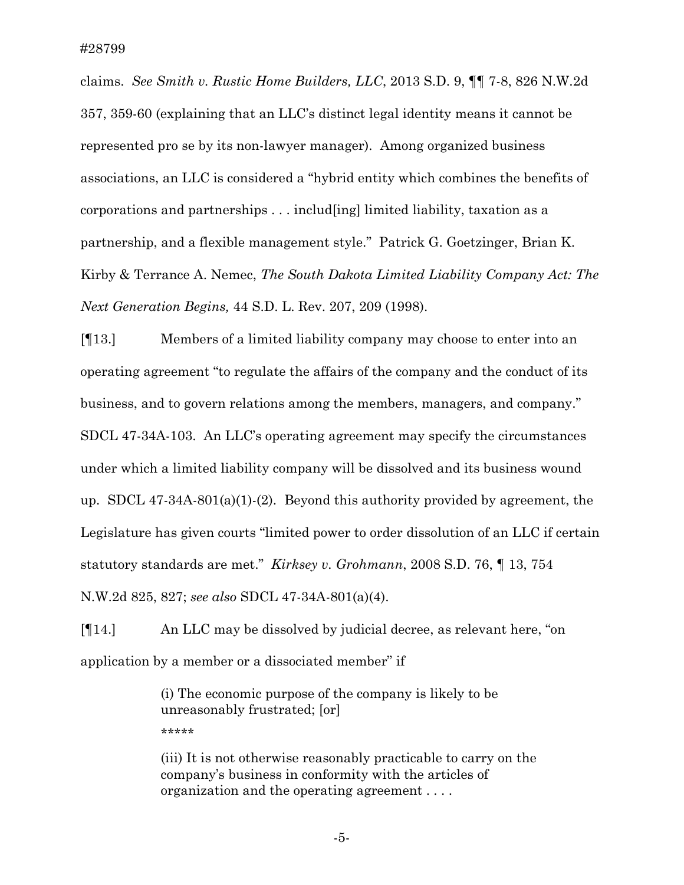claims. *See Smith v. Rustic Home Builders, LLC*, 2013 S.D. 9, ¶¶ 7-8, 826 N.W.2d 357, 359-60 (explaining that an LLC's distinct legal identity means it cannot be represented pro se by its non-lawyer manager). Among organized business associations, an LLC is considered a "hybrid entity which combines the benefits of corporations and partnerships . . . includ[ing] limited liability, taxation as a partnership, and a flexible management style." Patrick G. Goetzinger, Brian K. Kirby & Terrance A. Nemec, *The South Dakota Limited Liability Company Act: The Next Generation Begins,* 44 S.D. L. Rev. 207, 209 (1998).

[¶13.] Members of a limited liability company may choose to enter into an operating agreement "to regulate the affairs of the company and the conduct of its business, and to govern relations among the members, managers, and company." SDCL 47-34A-103. An LLC's operating agreement may specify the circumstances under which a limited liability company will be dissolved and its business wound up. SDCL 47-34A-801(a)(1)-(2). Beyond this authority provided by agreement, the Legislature has given courts "limited power to order dissolution of an LLC if certain statutory standards are met." *Kirksey v. Grohmann*, 2008 S.D. 76, ¶ 13, 754 N.W.2d 825, 827; *see also* SDCL 47-34A-801(a)(4).

[¶14.] An LLC may be dissolved by judicial decree, as relevant here, "on application by a member or a dissociated member" if

> (i) The economic purpose of the company is likely to be unreasonably frustrated; [or] \*\*\*\*\*

(iii) It is not otherwise reasonably practicable to carry on the company's business in conformity with the articles of organization and the operating agreement . . . .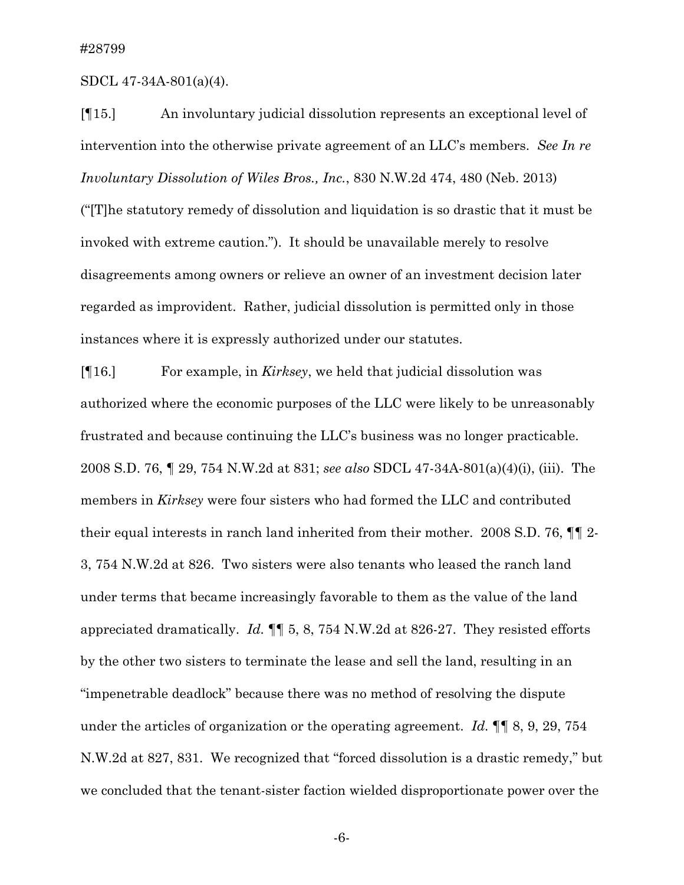SDCL 47-34A-801(a)(4).

[¶15.] An involuntary judicial dissolution represents an exceptional level of intervention into the otherwise private agreement of an LLC's members. *See In re Involuntary Dissolution of Wiles Bros., Inc.*, 830 N.W.2d 474, 480 (Neb. 2013) ("[T]he statutory remedy of dissolution and liquidation is so drastic that it must be invoked with extreme caution."). It should be unavailable merely to resolve disagreements among owners or relieve an owner of an investment decision later regarded as improvident. Rather, judicial dissolution is permitted only in those instances where it is expressly authorized under our statutes.

[¶16.] For example, in *Kirksey*, we held that judicial dissolution was authorized where the economic purposes of the LLC were likely to be unreasonably frustrated and because continuing the LLC's business was no longer practicable. 2008 S.D. 76, ¶ 29, 754 N.W.2d at 831; *see also* SDCL 47-34A-801(a)(4)(i), (iii). The members in *Kirksey* were four sisters who had formed the LLC and contributed their equal interests in ranch land inherited from their mother. 2008 S.D. 76, ¶¶ 2- 3, 754 N.W.2d at 826. Two sisters were also tenants who leased the ranch land under terms that became increasingly favorable to them as the value of the land appreciated dramatically. *Id.* ¶¶ 5, 8, 754 N.W.2d at 826-27. They resisted efforts by the other two sisters to terminate the lease and sell the land, resulting in an "impenetrable deadlock" because there was no method of resolving the dispute under the articles of organization or the operating agreement. *Id.* ¶¶ 8, 9, 29, 754 N.W.2d at 827, 831. We recognized that "forced dissolution is a drastic remedy," but we concluded that the tenant-sister faction wielded disproportionate power over the

-6-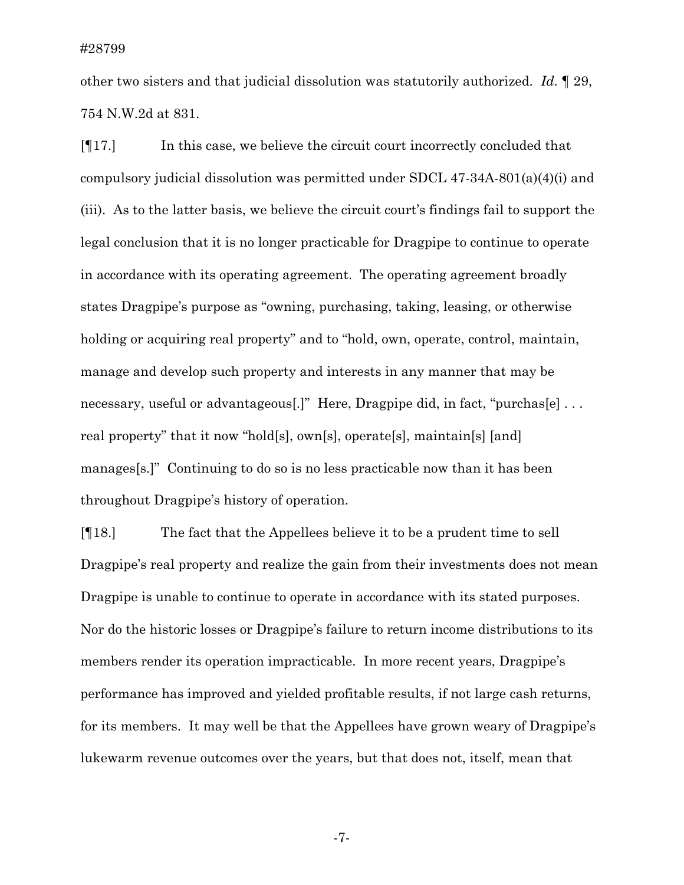other two sisters and that judicial dissolution was statutorily authorized. *Id.* ¶ 29, 754 N.W.2d at 831.

[¶17.] In this case, we believe the circuit court incorrectly concluded that compulsory judicial dissolution was permitted under SDCL 47-34A-801(a)(4)(i) and (iii). As to the latter basis, we believe the circuit court's findings fail to support the legal conclusion that it is no longer practicable for Dragpipe to continue to operate in accordance with its operating agreement. The operating agreement broadly states Dragpipe's purpose as "owning, purchasing, taking, leasing, or otherwise holding or acquiring real property" and to "hold, own, operate, control, maintain, manage and develop such property and interests in any manner that may be necessary, useful or advantageous[.]" Here, Dragpipe did, in fact, "purchas[e] ... real property" that it now "hold[s], own[s], operate[s], maintain[s] [and] manages[s.]" Continuing to do so is no less practicable now than it has been throughout Dragpipe's history of operation.

[¶18.] The fact that the Appellees believe it to be a prudent time to sell Dragpipe's real property and realize the gain from their investments does not mean Dragpipe is unable to continue to operate in accordance with its stated purposes. Nor do the historic losses or Dragpipe's failure to return income distributions to its members render its operation impracticable. In more recent years, Dragpipe's performance has improved and yielded profitable results, if not large cash returns, for its members. It may well be that the Appellees have grown weary of Dragpipe's lukewarm revenue outcomes over the years, but that does not, itself, mean that

-7-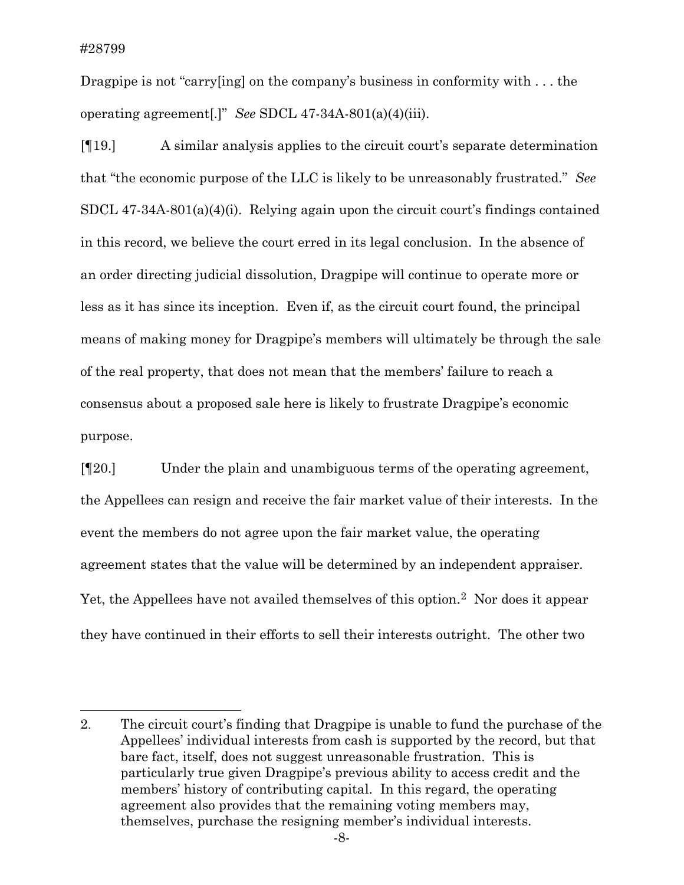l

Dragpipe is not "carry[ing] on the company's business in conformity with ... the operating agreement[.]" *See* SDCL 47-34A-801(a)(4)(iii).

[¶19.] A similar analysis applies to the circuit court's separate determination that "the economic purpose of the LLC is likely to be unreasonably frustrated." *See*  SDCL 47-34A-801(a)(4)(i). Relying again upon the circuit court's findings contained in this record, we believe the court erred in its legal conclusion. In the absence of an order directing judicial dissolution, Dragpipe will continue to operate more or less as it has since its inception. Even if, as the circuit court found, the principal means of making money for Dragpipe's members will ultimately be through the sale of the real property, that does not mean that the members' failure to reach a consensus about a proposed sale here is likely to frustrate Dragpipe's economic purpose.

[¶20.] Under the plain and unambiguous terms of the operating agreement, the Appellees can resign and receive the fair market value of their interests. In the event the members do not agree upon the fair market value, the operating agreement states that the value will be determined by an independent appraiser. Yet, the Appellees have not availed themselves of this option.[2](#page-8-0) Nor does it appear they have continued in their efforts to sell their interests outright. The other two

-8-

<span id="page-8-0"></span><sup>2.</sup> The circuit court's finding that Dragpipe is unable to fund the purchase of the Appellees' individual interests from cash is supported by the record, but that bare fact, itself, does not suggest unreasonable frustration. This is particularly true given Dragpipe's previous ability to access credit and the members' history of contributing capital. In this regard, the operating agreement also provides that the remaining voting members may, themselves, purchase the resigning member's individual interests.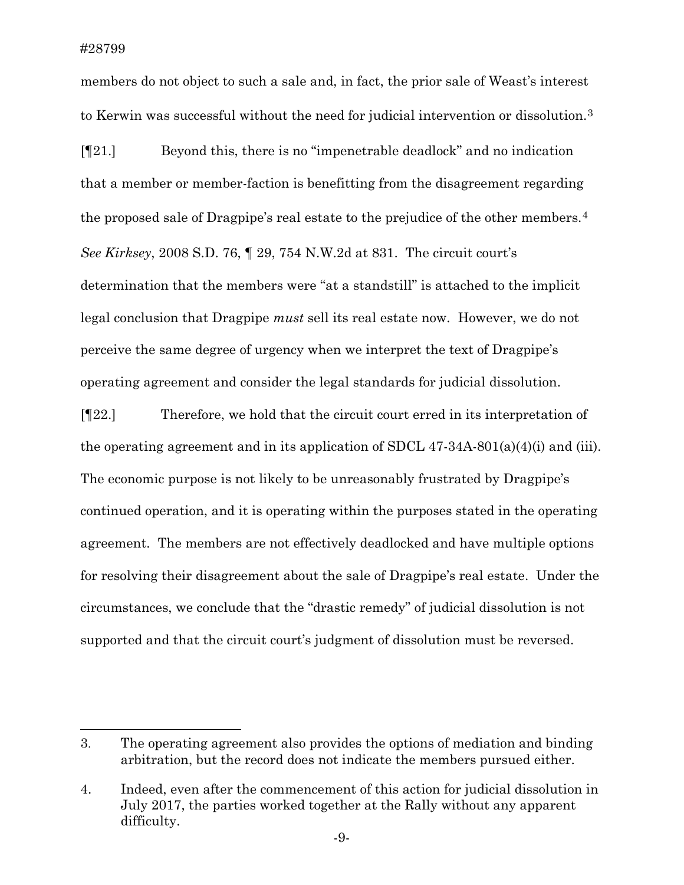l

members do not object to such a sale and, in fact, the prior sale of Weast's interest to Kerwin was successful without the need for judicial intervention or dissolution.[3](#page-9-0)

[¶21.] Beyond this, there is no "impenetrable deadlock" and no indication that a member or member-faction is benefitting from the disagreement regarding the proposed sale of Dragpipe's real estate to the prejudice of the other members.<sup>[4](#page-9-1)</sup> *See Kirksey*, 2008 S.D. 76, ¶ 29, 754 N.W.2d at 831. The circuit court's determination that the members were "at a standstill" is attached to the implicit legal conclusion that Dragpipe *must* sell its real estate now. However, we do not perceive the same degree of urgency when we interpret the text of Dragpipe's operating agreement and consider the legal standards for judicial dissolution.

[¶22.] Therefore, we hold that the circuit court erred in its interpretation of the operating agreement and in its application of SDCL 47-34A-801(a)(4)(i) and (iii). The economic purpose is not likely to be unreasonably frustrated by Dragpipe's continued operation, and it is operating within the purposes stated in the operating agreement. The members are not effectively deadlocked and have multiple options for resolving their disagreement about the sale of Dragpipe's real estate. Under the circumstances, we conclude that the "drastic remedy" of judicial dissolution is not supported and that the circuit court's judgment of dissolution must be reversed.

<span id="page-9-0"></span><sup>3.</sup> The operating agreement also provides the options of mediation and binding arbitration, but the record does not indicate the members pursued either.

<span id="page-9-1"></span><sup>4.</sup> Indeed, even after the commencement of this action for judicial dissolution in July 2017, the parties worked together at the Rally without any apparent difficulty.